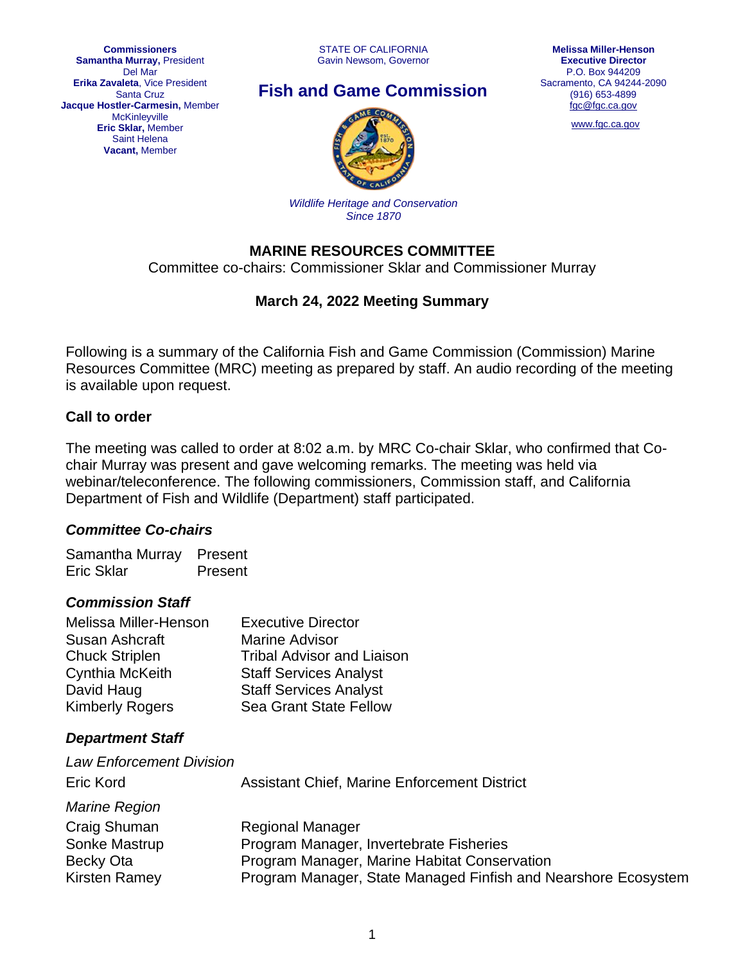**Commissioners Samantha Murray,** President Del Mar **Erika Zavaleta**, Vice President Santa Cruz **Jacque Hostler-Carmesin,** Member **McKinleyville Eric Sklar,** Member Saint Helena **Vacant,** Member

# **Fish and Game Commission**



[www.fgc.ca.gov](http://www.fgc.ca.gov/)



*Wildlife Heritage and Conservation Since 1870*

### **MARINE RESOURCES COMMITTEE**

Committee co-chairs: Commissioner Sklar and Commissioner Murray

### **March 24, 2022 Meeting Summary**

Following is a summary of the California Fish and Game Commission (Commission) Marine Resources Committee (MRC) meeting as prepared by staff. An audio recording of the meeting is available upon request.

### **Call to order**

The meeting was called to order at 8:02 a.m. by MRC Co-chair Sklar, who confirmed that Cochair Murray was present and gave welcoming remarks. The meeting was held via webinar/teleconference. The following commissioners, Commission staff, and California Department of Fish and Wildlife (Department) staff participated.

#### *Committee Co-chairs*

Samantha Murray Present Eric Sklar Present

#### *Commission Staff*

| <b>Executive Director</b>         |
|-----------------------------------|
| <b>Marine Advisor</b>             |
| <b>Tribal Advisor and Liaison</b> |
| <b>Staff Services Analyst</b>     |
| <b>Staff Services Analyst</b>     |
| <b>Sea Grant State Fellow</b>     |
|                                   |

### *Department Staff*

| <b>Law Enforcement Division</b><br>Eric Kord | <b>Assistant Chief, Marine Enforcement District</b>            |
|----------------------------------------------|----------------------------------------------------------------|
| <b>Marine Region</b>                         |                                                                |
| Craig Shuman                                 | <b>Regional Manager</b>                                        |
| Sonke Mastrup                                | Program Manager, Invertebrate Fisheries                        |
| Becky Ota                                    | Program Manager, Marine Habitat Conservation                   |
| <b>Kirsten Ramey</b>                         | Program Manager, State Managed Finfish and Nearshore Ecosystem |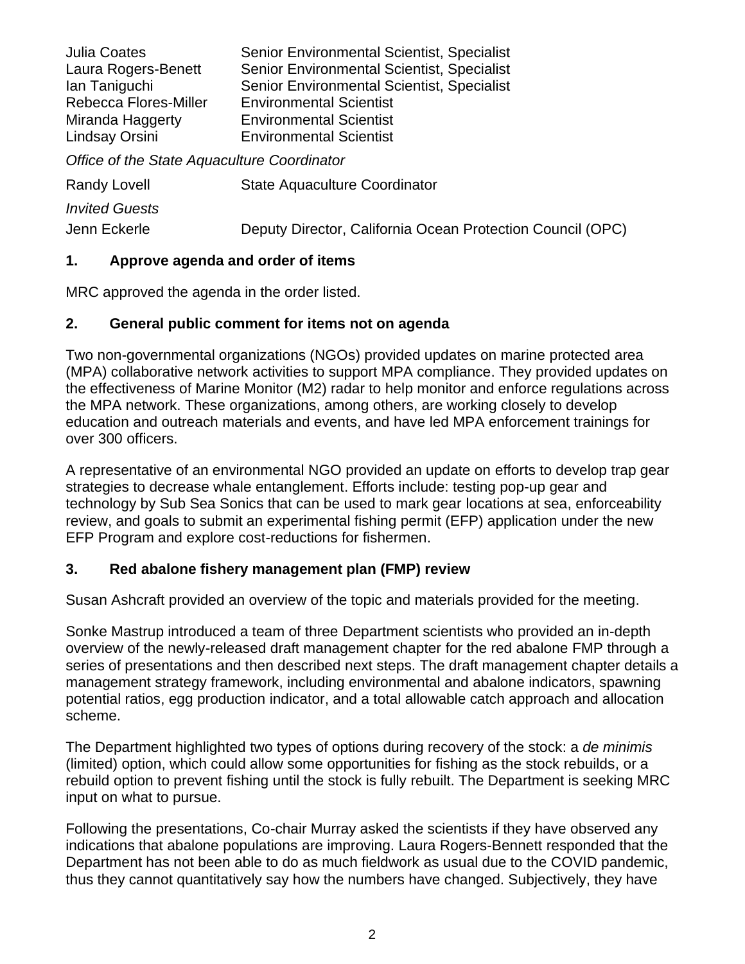| <b>Julia Coates</b><br>Laura Rogers-Benett<br>lan Taniguchi<br>Rebecca Flores-Miller<br>Miranda Haggerty<br>Lindsay Orsini | <b>Senior Environmental Scientist, Specialist</b><br><b>Senior Environmental Scientist, Specialist</b><br><b>Senior Environmental Scientist, Specialist</b><br><b>Environmental Scientist</b><br><b>Environmental Scientist</b><br><b>Environmental Scientist</b> |  |
|----------------------------------------------------------------------------------------------------------------------------|-------------------------------------------------------------------------------------------------------------------------------------------------------------------------------------------------------------------------------------------------------------------|--|
| Office of the State Aquaculture Coordinator                                                                                |                                                                                                                                                                                                                                                                   |  |
| <b>Randy Lovell</b>                                                                                                        | <b>State Aquaculture Coordinator</b>                                                                                                                                                                                                                              |  |

*Invited Guests* Jenn Eckerle Deputy Director, California Ocean Protection Council (OPC)

#### **1. Approve agenda and order of items**

MRC approved the agenda in the order listed.

#### **2. General public comment for items not on agenda**

Two non-governmental organizations (NGOs) provided updates on marine protected area (MPA) collaborative network activities to support MPA compliance. They provided updates on the effectiveness of Marine Monitor (M2) radar to help monitor and enforce regulations across the MPA network. These organizations, among others, are working closely to develop education and outreach materials and events, and have led MPA enforcement trainings for over 300 officers.

A representative of an environmental NGO provided an update on efforts to develop trap gear strategies to decrease whale entanglement. Efforts include: testing pop-up gear and technology by Sub Sea Sonics that can be used to mark gear locations at sea, enforceability review, and goals to submit an experimental fishing permit (EFP) application under the new EFP Program and explore cost-reductions for fishermen.

### **3. Red abalone fishery management plan (FMP) review**

Susan Ashcraft provided an overview of the topic and materials provided for the meeting.

Sonke Mastrup introduced a team of three Department scientists who provided an in-depth overview of the newly-released draft management chapter for the red abalone FMP through a series of presentations and then described next steps. The draft management chapter details a management strategy framework, including environmental and abalone indicators, spawning potential ratios, egg production indicator, and a total allowable catch approach and allocation scheme.

The Department highlighted two types of options during recovery of the stock: a *de minimis* (limited) option, which could allow some opportunities for fishing as the stock rebuilds, or a rebuild option to prevent fishing until the stock is fully rebuilt. The Department is seeking MRC input on what to pursue.

Following the presentations, Co-chair Murray asked the scientists if they have observed any indications that abalone populations are improving. Laura Rogers-Bennett responded that the Department has not been able to do as much fieldwork as usual due to the COVID pandemic, thus they cannot quantitatively say how the numbers have changed. Subjectively, they have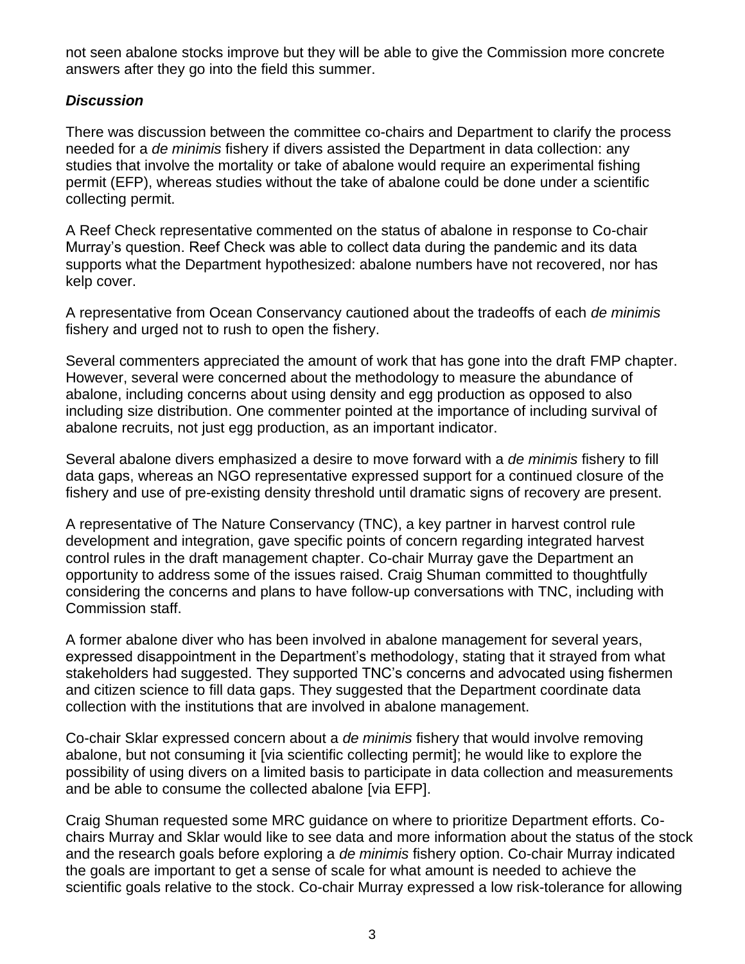not seen abalone stocks improve but they will be able to give the Commission more concrete answers after they go into the field this summer.

#### *Discussion*

There was discussion between the committee co-chairs and Department to clarify the process needed for a *de minimis* fishery if divers assisted the Department in data collection: any studies that involve the mortality or take of abalone would require an experimental fishing permit (EFP), whereas studies without the take of abalone could be done under a scientific collecting permit.

A Reef Check representative commented on the status of abalone in response to Co-chair Murray's question. Reef Check was able to collect data during the pandemic and its data supports what the Department hypothesized: abalone numbers have not recovered, nor has kelp cover.

A representative from Ocean Conservancy cautioned about the tradeoffs of each *de minimis* fishery and urged not to rush to open the fishery.

Several commenters appreciated the amount of work that has gone into the draft FMP chapter. However, several were concerned about the methodology to measure the abundance of abalone, including concerns about using density and egg production as opposed to also including size distribution. One commenter pointed at the importance of including survival of abalone recruits, not just egg production, as an important indicator.

Several abalone divers emphasized a desire to move forward with a *de minimis* fishery to fill data gaps, whereas an NGO representative expressed support for a continued closure of the fishery and use of pre-existing density threshold until dramatic signs of recovery are present.

A representative of The Nature Conservancy (TNC), a key partner in harvest control rule development and integration, gave specific points of concern regarding integrated harvest control rules in the draft management chapter. Co-chair Murray gave the Department an opportunity to address some of the issues raised. Craig Shuman committed to thoughtfully considering the concerns and plans to have follow-up conversations with TNC, including with Commission staff.

A former abalone diver who has been involved in abalone management for several years, expressed disappointment in the Department's methodology, stating that it strayed from what stakeholders had suggested. They supported TNC's concerns and advocated using fishermen and citizen science to fill data gaps. They suggested that the Department coordinate data collection with the institutions that are involved in abalone management.

Co-chair Sklar expressed concern about a *de minimis* fishery that would involve removing abalone, but not consuming it [via scientific collecting permit]; he would like to explore the possibility of using divers on a limited basis to participate in data collection and measurements and be able to consume the collected abalone [via EFP].

Craig Shuman requested some MRC guidance on where to prioritize Department efforts. Cochairs Murray and Sklar would like to see data and more information about the status of the stock and the research goals before exploring a *de minimis* fishery option. Co-chair Murray indicated the goals are important to get a sense of scale for what amount is needed to achieve the scientific goals relative to the stock. Co-chair Murray expressed a low risk-tolerance for allowing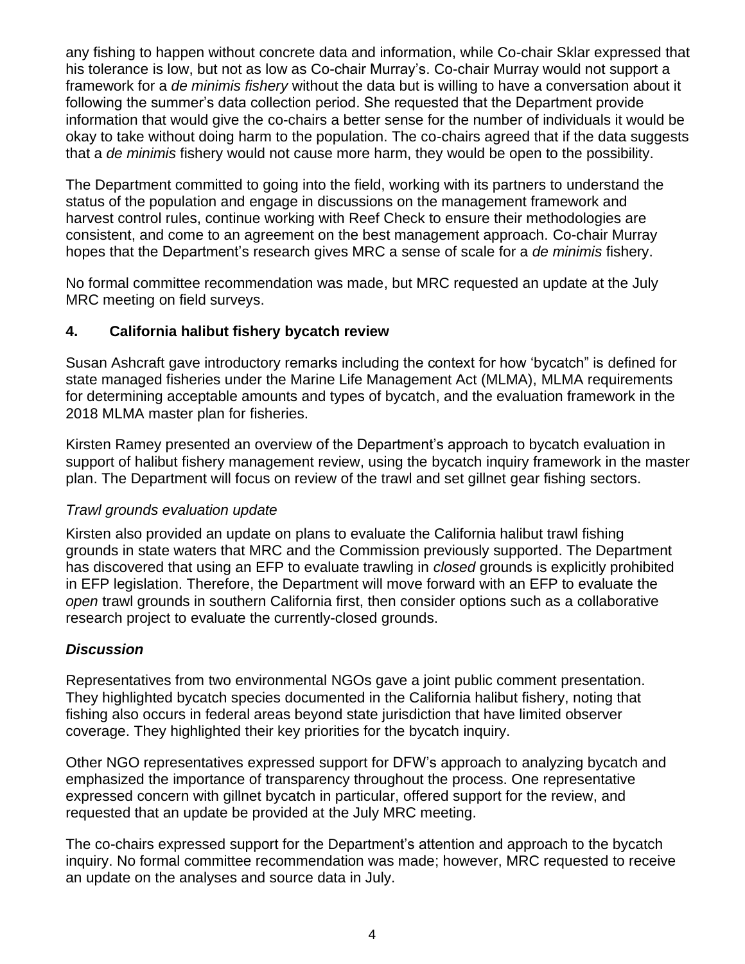any fishing to happen without concrete data and information, while Co-chair Sklar expressed that his tolerance is low, but not as low as Co-chair Murray's. Co-chair Murray would not support a framework for a *de minimis fishery* without the data but is willing to have a conversation about it following the summer's data collection period. She requested that the Department provide information that would give the co-chairs a better sense for the number of individuals it would be okay to take without doing harm to the population. The co-chairs agreed that if the data suggests that a *de minimis* fishery would not cause more harm, they would be open to the possibility.

The Department committed to going into the field, working with its partners to understand the status of the population and engage in discussions on the management framework and harvest control rules, continue working with Reef Check to ensure their methodologies are consistent, and come to an agreement on the best management approach. Co-chair Murray hopes that the Department's research gives MRC a sense of scale for a *de minimis* fishery.

No formal committee recommendation was made, but MRC requested an update at the July MRC meeting on field surveys.

### **4. California halibut fishery bycatch review**

Susan Ashcraft gave introductory remarks including the context for how 'bycatch" is defined for state managed fisheries under the Marine Life Management Act (MLMA), MLMA requirements for determining acceptable amounts and types of bycatch, and the evaluation framework in the 2018 MLMA master plan for fisheries.

Kirsten Ramey presented an overview of the Department's approach to bycatch evaluation in support of halibut fishery management review, using the bycatch inquiry framework in the master plan. The Department will focus on review of the trawl and set gillnet gear fishing sectors.

### *Trawl grounds evaluation update*

Kirsten also provided an update on plans to evaluate the California halibut trawl fishing grounds in state waters that MRC and the Commission previously supported. The Department has discovered that using an EFP to evaluate trawling in *closed* grounds is explicitly prohibited in EFP legislation. Therefore, the Department will move forward with an EFP to evaluate the *open* trawl grounds in southern California first, then consider options such as a collaborative research project to evaluate the currently-closed grounds.

# *Discussion*

Representatives from two environmental NGOs gave a joint public comment presentation. They highlighted bycatch species documented in the California halibut fishery, noting that fishing also occurs in federal areas beyond state jurisdiction that have limited observer coverage. They highlighted their key priorities for the bycatch inquiry.

Other NGO representatives expressed support for DFW's approach to analyzing bycatch and emphasized the importance of transparency throughout the process. One representative expressed concern with gillnet bycatch in particular, offered support for the review, and requested that an update be provided at the July MRC meeting.

The co-chairs expressed support for the Department's attention and approach to the bycatch inquiry. No formal committee recommendation was made; however, MRC requested to receive an update on the analyses and source data in July.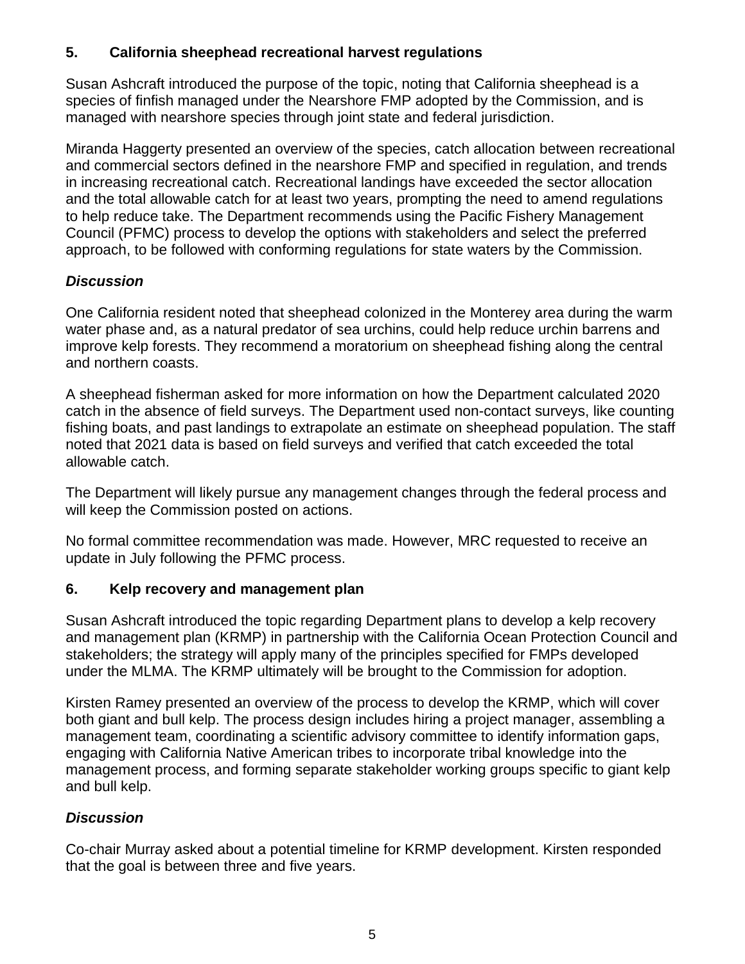## **5. California sheephead recreational harvest regulations**

Susan Ashcraft introduced the purpose of the topic, noting that California sheephead is a species of finfish managed under the Nearshore FMP adopted by the Commission, and is managed with nearshore species through joint state and federal jurisdiction.

Miranda Haggerty presented an overview of the species, catch allocation between recreational and commercial sectors defined in the nearshore FMP and specified in regulation, and trends in increasing recreational catch. Recreational landings have exceeded the sector allocation and the total allowable catch for at least two years, prompting the need to amend regulations to help reduce take. The Department recommends using the Pacific Fishery Management Council (PFMC) process to develop the options with stakeholders and select the preferred approach, to be followed with conforming regulations for state waters by the Commission.

### *Discussion*

One California resident noted that sheephead colonized in the Monterey area during the warm water phase and, as a natural predator of sea urchins, could help reduce urchin barrens and improve kelp forests. They recommend a moratorium on sheephead fishing along the central and northern coasts.

A sheephead fisherman asked for more information on how the Department calculated 2020 catch in the absence of field surveys. The Department used non-contact surveys, like counting fishing boats, and past landings to extrapolate an estimate on sheephead population. The staff noted that 2021 data is based on field surveys and verified that catch exceeded the total allowable catch.

The Department will likely pursue any management changes through the federal process and will keep the Commission posted on actions.

No formal committee recommendation was made. However, MRC requested to receive an update in July following the PFMC process.

### **6. Kelp recovery and management plan**

Susan Ashcraft introduced the topic regarding Department plans to develop a kelp recovery and management plan (KRMP) in partnership with the California Ocean Protection Council and stakeholders; the strategy will apply many of the principles specified for FMPs developed under the MLMA. The KRMP ultimately will be brought to the Commission for adoption.

Kirsten Ramey presented an overview of the process to develop the KRMP, which will cover both giant and bull kelp. The process design includes hiring a project manager, assembling a management team, coordinating a scientific advisory committee to identify information gaps, engaging with California Native American tribes to incorporate tribal knowledge into the management process, and forming separate stakeholder working groups specific to giant kelp and bull kelp.

# *Discussion*

Co-chair Murray asked about a potential timeline for KRMP development. Kirsten responded that the goal is between three and five years.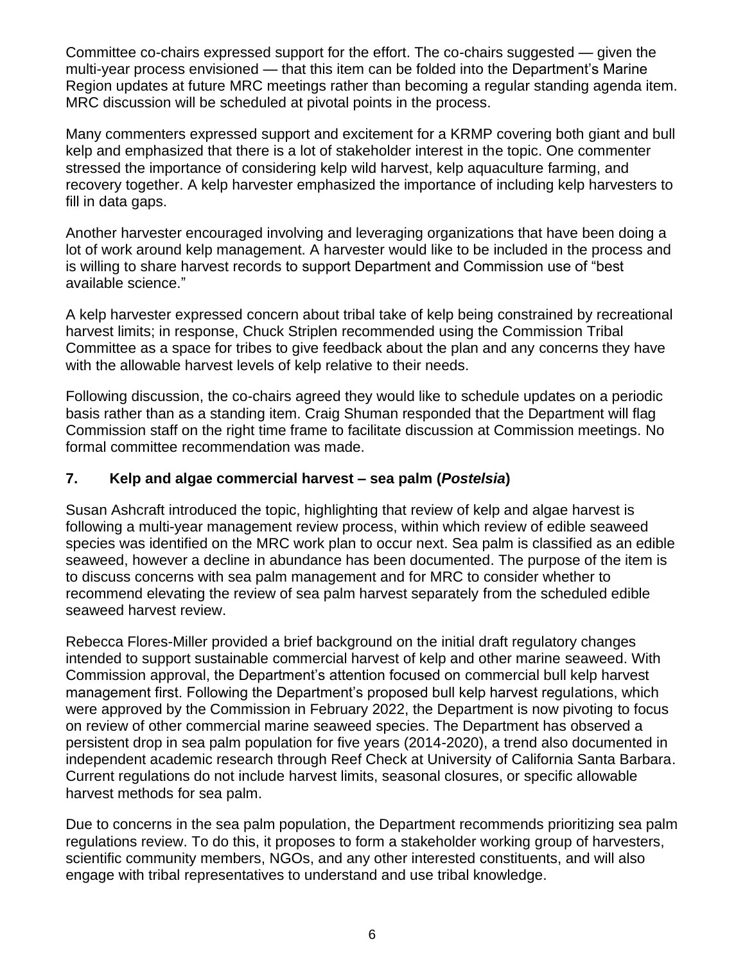Committee co-chairs expressed support for the effort. The co-chairs suggested — given the multi-year process envisioned — that this item can be folded into the Department's Marine Region updates at future MRC meetings rather than becoming a regular standing agenda item. MRC discussion will be scheduled at pivotal points in the process.

Many commenters expressed support and excitement for a KRMP covering both giant and bull kelp and emphasized that there is a lot of stakeholder interest in the topic. One commenter stressed the importance of considering kelp wild harvest, kelp aquaculture farming, and recovery together. A kelp harvester emphasized the importance of including kelp harvesters to fill in data gaps.

Another harvester encouraged involving and leveraging organizations that have been doing a lot of work around kelp management. A harvester would like to be included in the process and is willing to share harvest records to support Department and Commission use of "best available science."

A kelp harvester expressed concern about tribal take of kelp being constrained by recreational harvest limits; in response, Chuck Striplen recommended using the Commission Tribal Committee as a space for tribes to give feedback about the plan and any concerns they have with the allowable harvest levels of kelp relative to their needs.

Following discussion, the co-chairs agreed they would like to schedule updates on a periodic basis rather than as a standing item. Craig Shuman responded that the Department will flag Commission staff on the right time frame to facilitate discussion at Commission meetings. No formal committee recommendation was made.

#### **7. Kelp and algae commercial harvest – sea palm (***Postelsia***)**

Susan Ashcraft introduced the topic, highlighting that review of kelp and algae harvest is following a multi-year management review process, within which review of edible seaweed species was identified on the MRC work plan to occur next. Sea palm is classified as an edible seaweed, however a decline in abundance has been documented. The purpose of the item is to discuss concerns with sea palm management and for MRC to consider whether to recommend elevating the review of sea palm harvest separately from the scheduled edible seaweed harvest review.

Rebecca Flores-Miller provided a brief background on the initial draft regulatory changes intended to support sustainable commercial harvest of kelp and other marine seaweed. With Commission approval, the Department's attention focused on commercial bull kelp harvest management first. Following the Department's proposed bull kelp harvest regulations, which were approved by the Commission in February 2022, the Department is now pivoting to focus on review of other commercial marine seaweed species. The Department has observed a persistent drop in sea palm population for five years (2014-2020), a trend also documented in independent academic research through Reef Check at University of California Santa Barbara. Current regulations do not include harvest limits, seasonal closures, or specific allowable harvest methods for sea palm.

Due to concerns in the sea palm population, the Department recommends prioritizing sea palm regulations review. To do this, it proposes to form a stakeholder working group of harvesters, scientific community members, NGOs, and any other interested constituents, and will also engage with tribal representatives to understand and use tribal knowledge.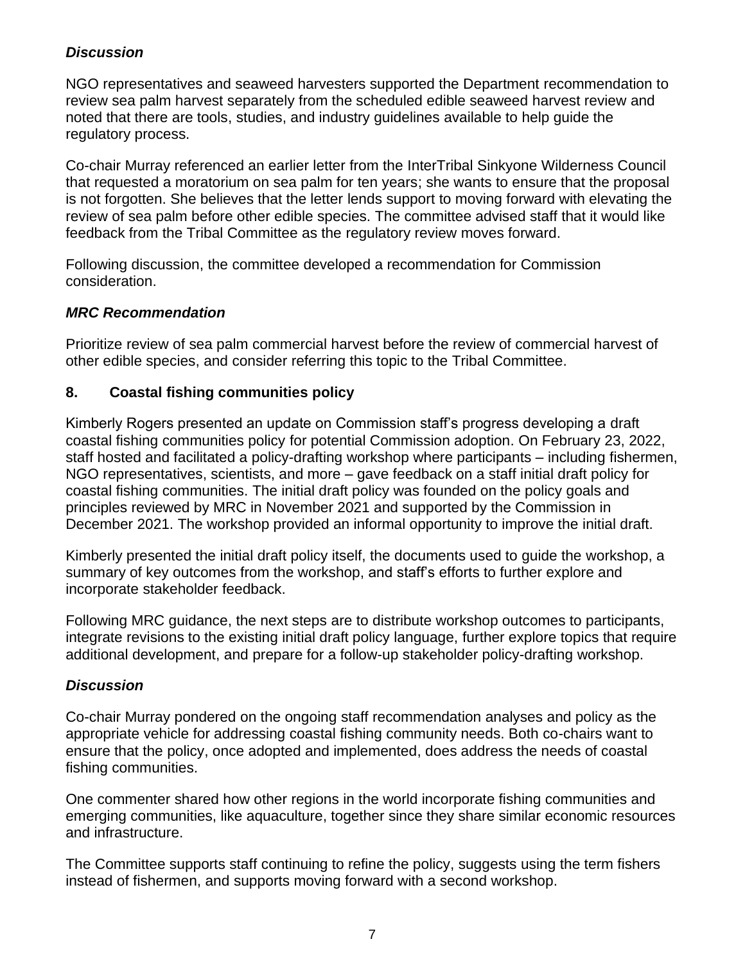# *Discussion*

NGO representatives and seaweed harvesters supported the Department recommendation to review sea palm harvest separately from the scheduled edible seaweed harvest review and noted that there are tools, studies, and industry guidelines available to help guide the regulatory process.

Co-chair Murray referenced an earlier letter from the InterTribal Sinkyone Wilderness Council that requested a moratorium on sea palm for ten years; she wants to ensure that the proposal is not forgotten. She believes that the letter lends support to moving forward with elevating the review of sea palm before other edible species. The committee advised staff that it would like feedback from the Tribal Committee as the regulatory review moves forward.

Following discussion, the committee developed a recommendation for Commission consideration.

#### *MRC Recommendation*

Prioritize review of sea palm commercial harvest before the review of commercial harvest of other edible species, and consider referring this topic to the Tribal Committee.

### **8. Coastal fishing communities policy**

Kimberly Rogers presented an update on Commission staff's progress developing a draft coastal fishing communities policy for potential Commission adoption. On February 23, 2022, staff hosted and facilitated a policy-drafting workshop where participants – including fishermen, NGO representatives, scientists, and more – gave feedback on a staff initial draft policy for coastal fishing communities. The initial draft policy was founded on the policy goals and principles reviewed by MRC in November 2021 and supported by the Commission in December 2021. The workshop provided an informal opportunity to improve the initial draft.

Kimberly presented the initial draft policy itself, the documents used to guide the workshop, a summary of key outcomes from the workshop, and staff's efforts to further explore and incorporate stakeholder feedback.

Following MRC guidance, the next steps are to distribute workshop outcomes to participants, integrate revisions to the existing initial draft policy language, further explore topics that require additional development, and prepare for a follow-up stakeholder policy-drafting workshop.

#### *Discussion*

Co-chair Murray pondered on the ongoing staff recommendation analyses and policy as the appropriate vehicle for addressing coastal fishing community needs. Both co-chairs want to ensure that the policy, once adopted and implemented, does address the needs of coastal fishing communities.

One commenter shared how other regions in the world incorporate fishing communities and emerging communities, like aquaculture, together since they share similar economic resources and infrastructure.

The Committee supports staff continuing to refine the policy, suggests using the term fishers instead of fishermen, and supports moving forward with a second workshop.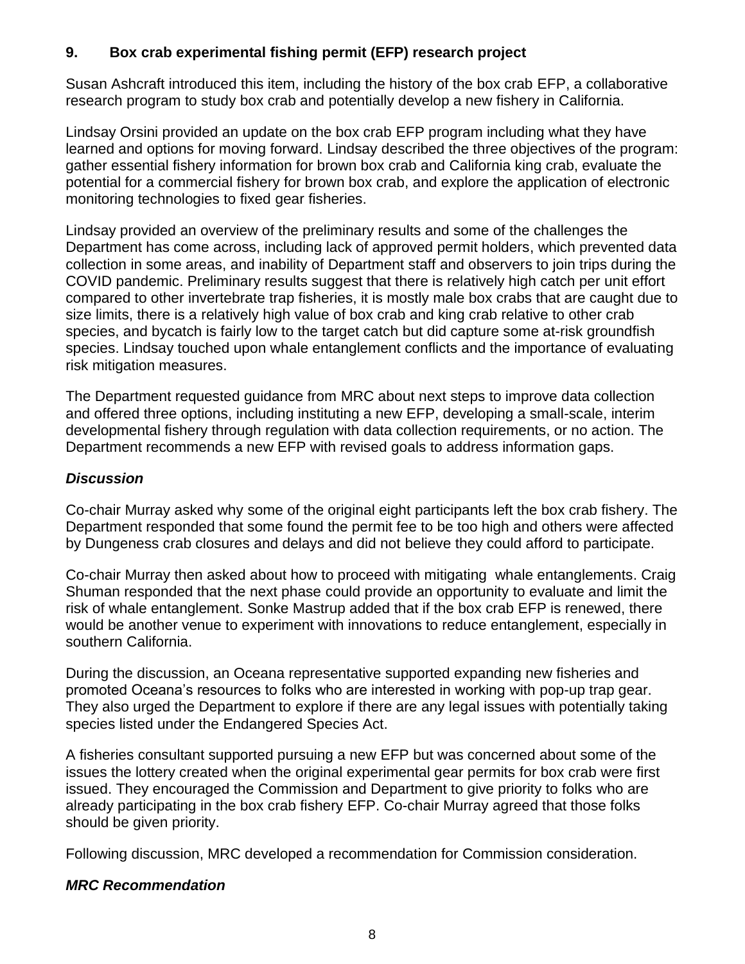# **9. Box crab experimental fishing permit (EFP) research project**

Susan Ashcraft introduced this item, including the history of the box crab EFP, a collaborative research program to study box crab and potentially develop a new fishery in California.

Lindsay Orsini provided an update on the box crab EFP program including what they have learned and options for moving forward. Lindsay described the three objectives of the program: gather essential fishery information for brown box crab and California king crab, evaluate the potential for a commercial fishery for brown box crab, and explore the application of electronic monitoring technologies to fixed gear fisheries.

Lindsay provided an overview of the preliminary results and some of the challenges the Department has come across, including lack of approved permit holders, which prevented data collection in some areas, and inability of Department staff and observers to join trips during the COVID pandemic. Preliminary results suggest that there is relatively high catch per unit effort compared to other invertebrate trap fisheries, it is mostly male box crabs that are caught due to size limits, there is a relatively high value of box crab and king crab relative to other crab species, and bycatch is fairly low to the target catch but did capture some at-risk groundfish species. Lindsay touched upon whale entanglement conflicts and the importance of evaluating risk mitigation measures.

The Department requested guidance from MRC about next steps to improve data collection and offered three options, including instituting a new EFP, developing a small-scale, interim developmental fishery through regulation with data collection requirements, or no action. The Department recommends a new EFP with revised goals to address information gaps.

### *Discussion*

Co-chair Murray asked why some of the original eight participants left the box crab fishery. The Department responded that some found the permit fee to be too high and others were affected by Dungeness crab closures and delays and did not believe they could afford to participate.

Co-chair Murray then asked about how to proceed with mitigating whale entanglements. Craig Shuman responded that the next phase could provide an opportunity to evaluate and limit the risk of whale entanglement. Sonke Mastrup added that if the box crab EFP is renewed, there would be another venue to experiment with innovations to reduce entanglement, especially in southern California.

During the discussion, an Oceana representative supported expanding new fisheries and promoted Oceana's resources to folks who are interested in working with pop-up trap gear. They also urged the Department to explore if there are any legal issues with potentially taking species listed under the Endangered Species Act.

A fisheries consultant supported pursuing a new EFP but was concerned about some of the issues the lottery created when the original experimental gear permits for box crab were first issued. They encouraged the Commission and Department to give priority to folks who are already participating in the box crab fishery EFP. Co-chair Murray agreed that those folks should be given priority.

Following discussion, MRC developed a recommendation for Commission consideration.

### *MRC Recommendation*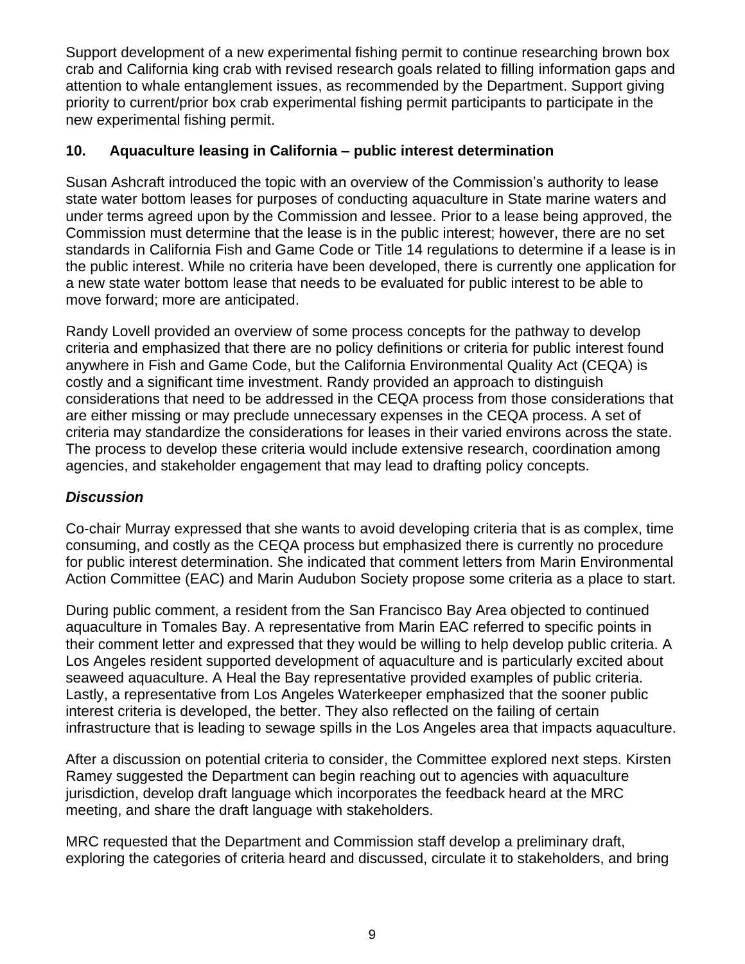Support development of a new experimental fishing permit to continue researching brown box crab and California king crab with revised research goals related to filling information gaps and attention to whale entanglement issues, as recommended by the Department. Support giving priority to current/prior box crab experimental fishing permit participants to participate in the new experimental fishing permit.

### **10. Aquaculture leasing in California – public interest determination**

Susan Ashcraft introduced the topic with an overview of the Commission's authority to lease state water bottom leases for purposes of conducting aquaculture in State marine waters and under terms agreed upon by the Commission and lessee. Prior to a lease being approved, the Commission must determine that the lease is in the public interest; however, there are no set standards in California Fish and Game Code or Title 14 regulations to determine if a lease is in the public interest. While no criteria have been developed, there is currently one application for a new state water bottom lease that needs to be evaluated for public interest to be able to move forward; more are anticipated.

Randy Lovell provided an overview of some process concepts for the pathway to develop criteria and emphasized that there are no policy definitions or criteria for public interest found anywhere in Fish and Game Code, but the California Environmental Quality Act (CEQA) is costly and a significant time investment. Randy provided an approach to distinguish considerations that need to be addressed in the CEQA process from those considerations that are either missing or may preclude unnecessary expenses in the CEQA process. A set of criteria may standardize the considerations for leases in their varied environs across the state. The process to develop these criteria would include extensive research, coordination among agencies, and stakeholder engagement that may lead to drafting policy concepts.

# *Discussion*

Co-chair Murray expressed that she wants to avoid developing criteria that is as complex, time consuming, and costly as the CEQA process but emphasized there is currently no procedure for public interest determination. She indicated that comment letters from Marin Environmental Action Committee (EAC) and Marin Audubon Society propose some criteria as a place to start.

During public comment, a resident from the San Francisco Bay Area objected to continued aquaculture in Tomales Bay. A representative from Marin EAC referred to specific points in their comment letter and expressed that they would be willing to help develop public criteria. A Los Angeles resident supported development of aquaculture and is particularly excited about seaweed aquaculture. A Heal the Bay representative provided examples of public criteria. Lastly, a representative from Los Angeles Waterkeeper emphasized that the sooner public interest criteria is developed, the better. They also reflected on the failing of certain infrastructure that is leading to sewage spills in the Los Angeles area that impacts aquaculture.

After a discussion on potential criteria to consider, the Committee explored next steps. Kirsten Ramey suggested the Department can begin reaching out to agencies with aquaculture jurisdiction, develop draft language which incorporates the feedback heard at the MRC meeting, and share the draft language with stakeholders.

MRC requested that the Department and Commission staff develop a preliminary draft, exploring the categories of criteria heard and discussed, circulate it to stakeholders, and bring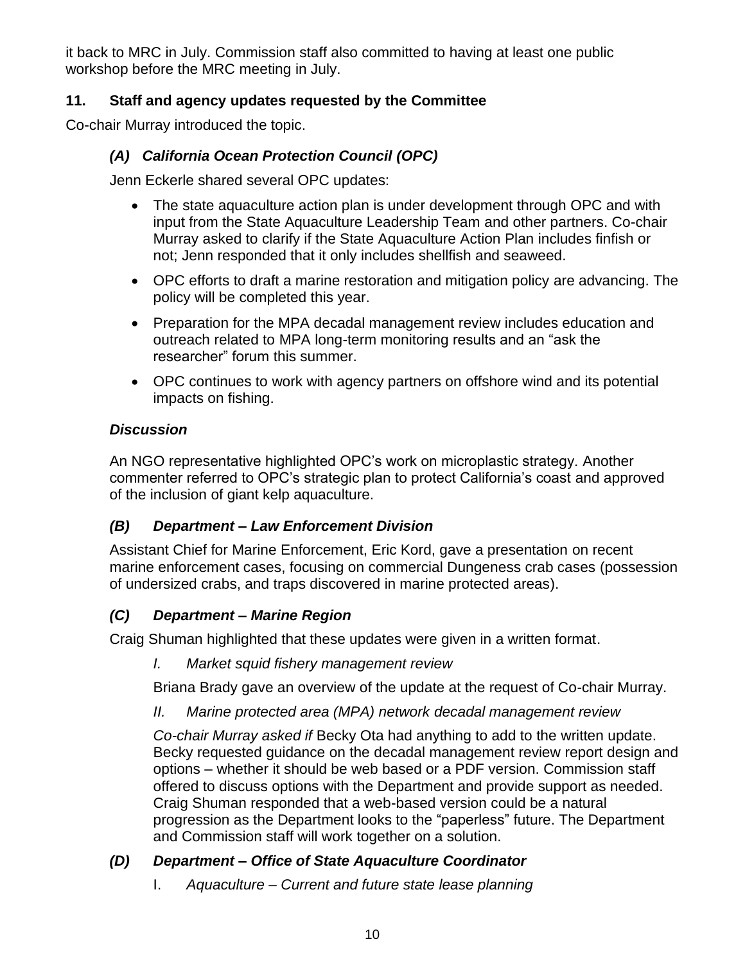it back to MRC in July. Commission staff also committed to having at least one public workshop before the MRC meeting in July.

# **11. Staff and agency updates requested by the Committee**

Co-chair Murray introduced the topic.

# *(A) California Ocean Protection Council (OPC)*

Jenn Eckerle shared several OPC updates:

- The state aquaculture action plan is under development through OPC and with input from the State Aquaculture Leadership Team and other partners. Co-chair Murray asked to clarify if the State Aquaculture Action Plan includes finfish or not; Jenn responded that it only includes shellfish and seaweed.
- OPC efforts to draft a marine restoration and mitigation policy are advancing. The policy will be completed this year.
- Preparation for the MPA decadal management review includes education and outreach related to MPA long-term monitoring results and an "ask the researcher" forum this summer.
- OPC continues to work with agency partners on offshore wind and its potential impacts on fishing.

# *Discussion*

An NGO representative highlighted OPC's work on microplastic strategy. Another commenter referred to OPC's strategic plan to protect California's coast and approved of the inclusion of giant kelp aquaculture.

# *(B) Department – Law Enforcement Division*

Assistant Chief for Marine Enforcement, Eric Kord, gave a presentation on recent marine enforcement cases, focusing on commercial Dungeness crab cases (possession of undersized crabs, and traps discovered in marine protected areas).

# *(C) Department – Marine Region*

Craig Shuman highlighted that these updates were given in a written format.

*I. Market squid fishery management review*

Briana Brady gave an overview of the update at the request of Co-chair Murray.

*II. Marine protected area (MPA) network decadal management review*

*Co-chair Murray asked if* Becky Ota had anything to add to the written update. Becky requested guidance on the decadal management review report design and options – whether it should be web based or a PDF version. Commission staff offered to discuss options with the Department and provide support as needed. Craig Shuman responded that a web-based version could be a natural progression as the Department looks to the "paperless" future. The Department and Commission staff will work together on a solution.

# *(D) Department – Office of State Aquaculture Coordinator*

I. *Aquaculture – Current and future state lease planning*